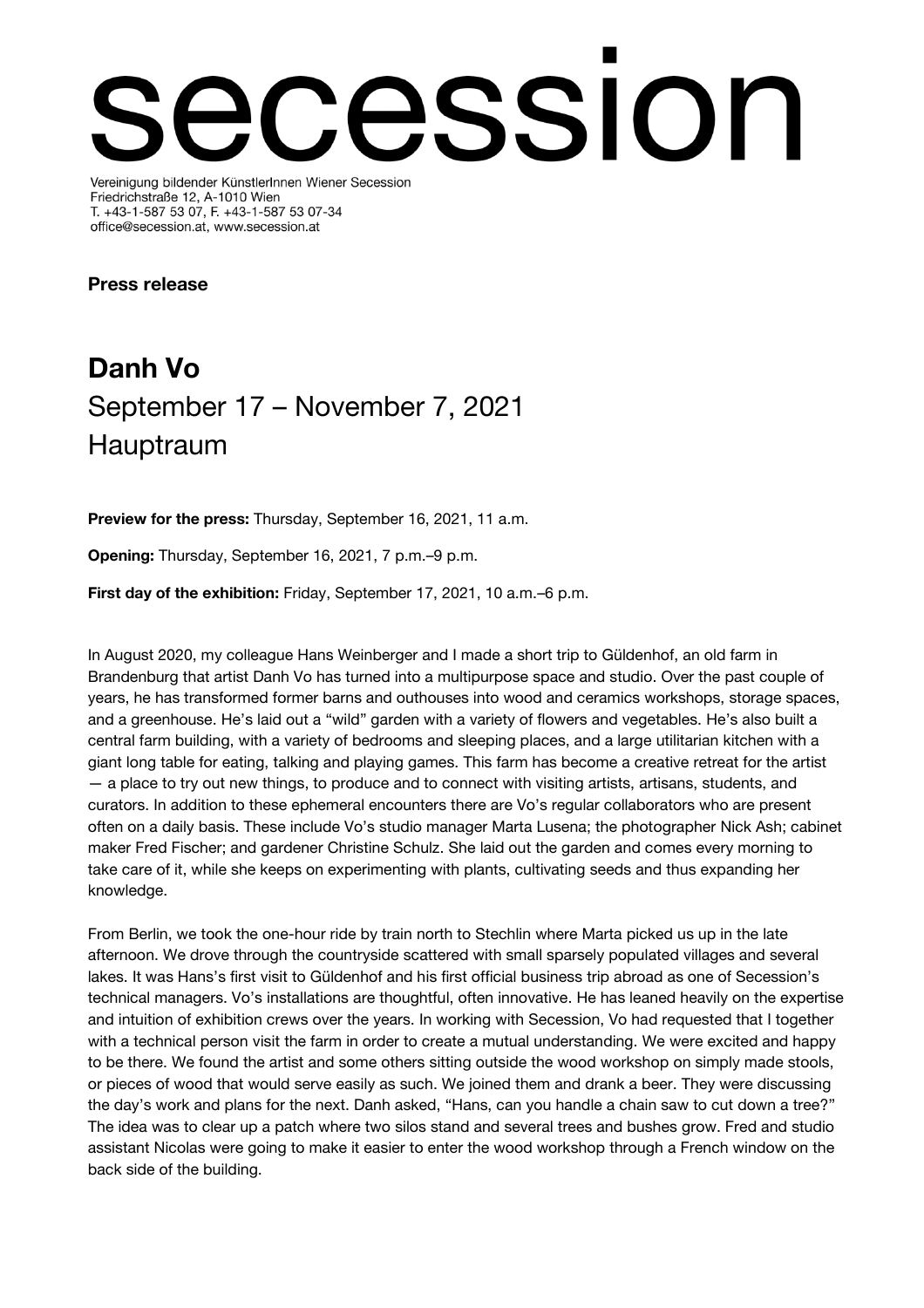# cssion Vereinigung bildender KünstlerInnen Wiener Secession

Friedrichstraße 12, A-1010 Wien T. +43-1-587 53 07, F. +43-1-587 53 07-34 office@secession.at, www.secession.at

Press release

# Danh Vo September 17 – November 7, 2021 Hauptraum

Preview for the press: Thursday, September 16, 2021, 11 a.m.

Opening: Thursday, September 16, 2021, 7 p.m.–9 p.m.

First day of the exhibition: Friday, September 17, 2021, 10 a.m.–6 p.m.

In August 2020, my colleague Hans Weinberger and I made a short trip to Güldenhof, an old farm in Brandenburg that artist Danh Vo has turned into a multipurpose space and studio. Over the past couple of years, he has transformed former barns and outhouses into wood and ceramics workshops, storage spaces, and a greenhouse. He's laid out a "wild" garden with a variety of flowers and vegetables. He's also built a central farm building, with a variety of bedrooms and sleeping places, and a large utilitarian kitchen with a giant long table for eating, talking and playing games. This farm has become a creative retreat for the artist — a place to try out new things, to produce and to connect with visiting artists, artisans, students, and curators. In addition to these ephemeral encounters there are Vo's regular collaborators who are present often on a daily basis. These include Vo's studio manager Marta Lusena; the photographer Nick Ash; cabinet maker Fred Fischer; and gardener Christine Schulz. She laid out the garden and comes every morning to take care of it, while she keeps on experimenting with plants, cultivating seeds and thus expanding her knowledge.

From Berlin, we took the one-hour ride by train north to Stechlin where Marta picked us up in the late afternoon. We drove through the countryside scattered with small sparsely populated villages and several lakes. It was Hans's first visit to Güldenhof and his first official business trip abroad as one of Secession's technical managers. Vo's installations are thoughtful, often innovative. He has leaned heavily on the expertise and intuition of exhibition crews over the years. In working with Secession, Vo had requested that I together with a technical person visit the farm in order to create a mutual understanding. We were excited and happy to be there. We found the artist and some others sitting outside the wood workshop on simply made stools, or pieces of wood that would serve easily as such. We joined them and drank a beer. They were discussing the day's work and plans for the next. Danh asked, "Hans, can you handle a chain saw to cut down a tree?" The idea was to clear up a patch where two silos stand and several trees and bushes grow. Fred and studio assistant Nicolas were going to make it easier to enter the wood workshop through a French window on the back side of the building.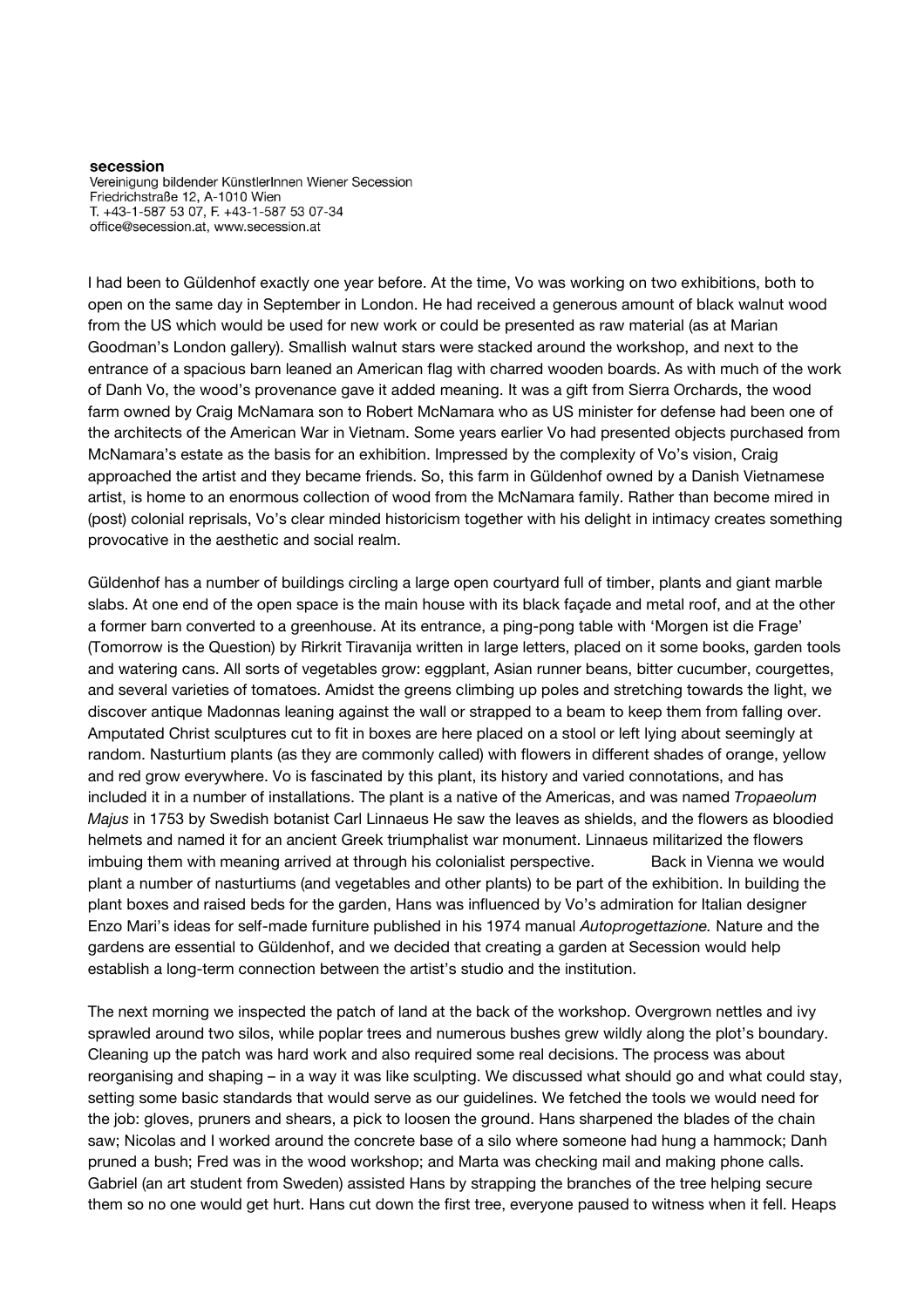Vereinigung bildender KünstlerInnen Wiener Secession Friedrichstraße 12, A-1010 Wien T. +43-1-587 53 07, F. +43-1-587 53 07-34 office@secession.at, www.secession.at

I had been to Güldenhof exactly one year before. At the time, Vo was working on two exhibitions, both to open on the same day in September in London. He had received a generous amount of black walnut wood from the US which would be used for new work or could be presented as raw material (as at Marian Goodman's London gallery). Smallish walnut stars were stacked around the workshop, and next to the entrance of a spacious barn leaned an American flag with charred wooden boards. As with much of the work of Danh Vo, the wood's provenance gave it added meaning. It was a gift from Sierra Orchards, the wood farm owned by Craig McNamara son to Robert McNamara who as US minister for defense had been one of the architects of the American War in Vietnam. Some years earlier Vo had presented objects purchased from McNamara's estate as the basis for an exhibition. Impressed by the complexity of Vo's vision, Craig approached the artist and they became friends. So, this farm in Güldenhof owned by a Danish Vietnamese artist, is home to an enormous collection of wood from the McNamara family. Rather than become mired in (post) colonial reprisals, Vo's clear minded historicism together with his delight in intimacy creates something provocative in the aesthetic and social realm.

Güldenhof has a number of buildings circling a large open courtyard full of timber, plants and giant marble slabs. At one end of the open space is the main house with its black façade and metal roof, and at the other a former barn converted to a greenhouse. At its entrance, a ping-pong table with 'Morgen ist die Frage' (Tomorrow is the Question) by Rirkrit Tiravanija written in large letters, placed on it some books, garden tools and watering cans. All sorts of vegetables grow: eggplant, Asian runner beans, bitter cucumber, courgettes, and several varieties of tomatoes. Amidst the greens climbing up poles and stretching towards the light, we discover antique Madonnas leaning against the wall or strapped to a beam to keep them from falling over. Amputated Christ sculptures cut to fit in boxes are here placed on a stool or left lying about seemingly at random. Nasturtium plants (as they are commonly called) with flowers in different shades of orange, yellow and red grow everywhere. Vo is fascinated by this plant, its history and varied connotations, and has included it in a number of installations. The plant is a native of the Americas, and was named Tropaeolum Majus in 1753 by Swedish botanist Carl Linnaeus He saw the leaves as shields, and the flowers as bloodied helmets and named it for an ancient Greek triumphalist war monument. Linnaeus militarized the flowers imbuing them with meaning arrived at through his colonialist perspective. Back in Vienna we would plant a number of nasturtiums (and vegetables and other plants) to be part of the exhibition. In building the plant boxes and raised beds for the garden, Hans was influenced by Vo's admiration for Italian designer Enzo Mari's ideas for self-made furniture published in his 1974 manual Autoprogettazione. Nature and the gardens are essential to Güldenhof, and we decided that creating a garden at Secession would help establish a long-term connection between the artist's studio and the institution.

The next morning we inspected the patch of land at the back of the workshop. Overgrown nettles and ivy sprawled around two silos, while poplar trees and numerous bushes grew wildly along the plot's boundary. Cleaning up the patch was hard work and also required some real decisions. The process was about reorganising and shaping – in a way it was like sculpting. We discussed what should go and what could stay, setting some basic standards that would serve as our guidelines. We fetched the tools we would need for the job: gloves, pruners and shears, a pick to loosen the ground. Hans sharpened the blades of the chain saw; Nicolas and I worked around the concrete base of a silo where someone had hung a hammock; Danh pruned a bush; Fred was in the wood workshop; and Marta was checking mail and making phone calls. Gabriel (an art student from Sweden) assisted Hans by strapping the branches of the tree helping secure them so no one would get hurt. Hans cut down the first tree, everyone paused to witness when it fell. Heaps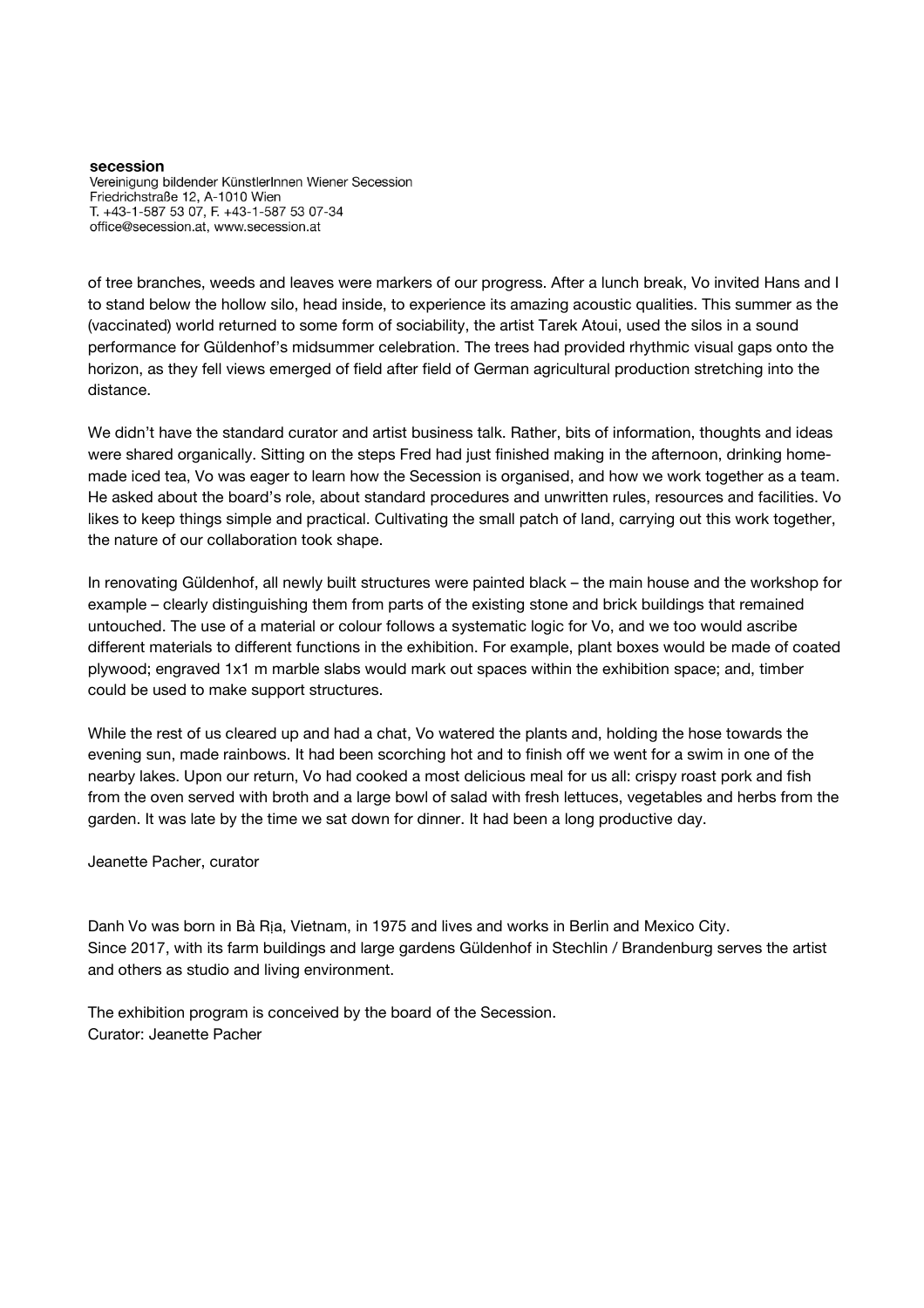Vereinigung bildender KünstlerInnen Wiener Secession Friedrichstraße 12, A-1010 Wien T. +43-1-587 53 07, F. +43-1-587 53 07-34 office@secession.at, www.secession.at

of tree branches, weeds and leaves were markers of our progress. After a lunch break, Vo invited Hans and I to stand below the hollow silo, head inside, to experience its amazing acoustic qualities. This summer as the (vaccinated) world returned to some form of sociability, the artist Tarek Atoui, used the silos in a sound performance for Güldenhof's midsummer celebration. The trees had provided rhythmic visual gaps onto the horizon, as they fell views emerged of field after field of German agricultural production stretching into the distance.

We didn't have the standard curator and artist business talk. Rather, bits of information, thoughts and ideas were shared organically. Sitting on the steps Fred had just finished making in the afternoon, drinking homemade iced tea, Vo was eager to learn how the Secession is organised, and how we work together as a team. He asked about the board's role, about standard procedures and unwritten rules, resources and facilities. Vo likes to keep things simple and practical. Cultivating the small patch of land, carrying out this work together, the nature of our collaboration took shape.

In renovating Güldenhof, all newly built structures were painted black – the main house and the workshop for example – clearly distinguishing them from parts of the existing stone and brick buildings that remained untouched. The use of a material or colour follows a systematic logic for Vo, and we too would ascribe different materials to different functions in the exhibition. For example, plant boxes would be made of coated plywood; engraved 1x1 m marble slabs would mark out spaces within the exhibition space; and, timber could be used to make support structures.

While the rest of us cleared up and had a chat, Vo watered the plants and, holding the hose towards the evening sun, made rainbows. It had been scorching hot and to finish off we went for a swim in one of the nearby lakes. Upon our return, Vo had cooked a most delicious meal for us all: crispy roast pork and fish from the oven served with broth and a large bowl of salad with fresh lettuces, vegetables and herbs from the garden. It was late by the time we sat down for dinner. It had been a long productive day.

Jeanette Pacher, curator

Danh Vo was born in Bà Rịa, Vietnam, in 1975 and lives and works in Berlin and Mexico City. Since 2017, with its farm buildings and large gardens Güldenhof in Stechlin / Brandenburg serves the artist and others as studio and living environment.

The exhibition program is conceived by the board of the Secession. Curator: Jeanette Pacher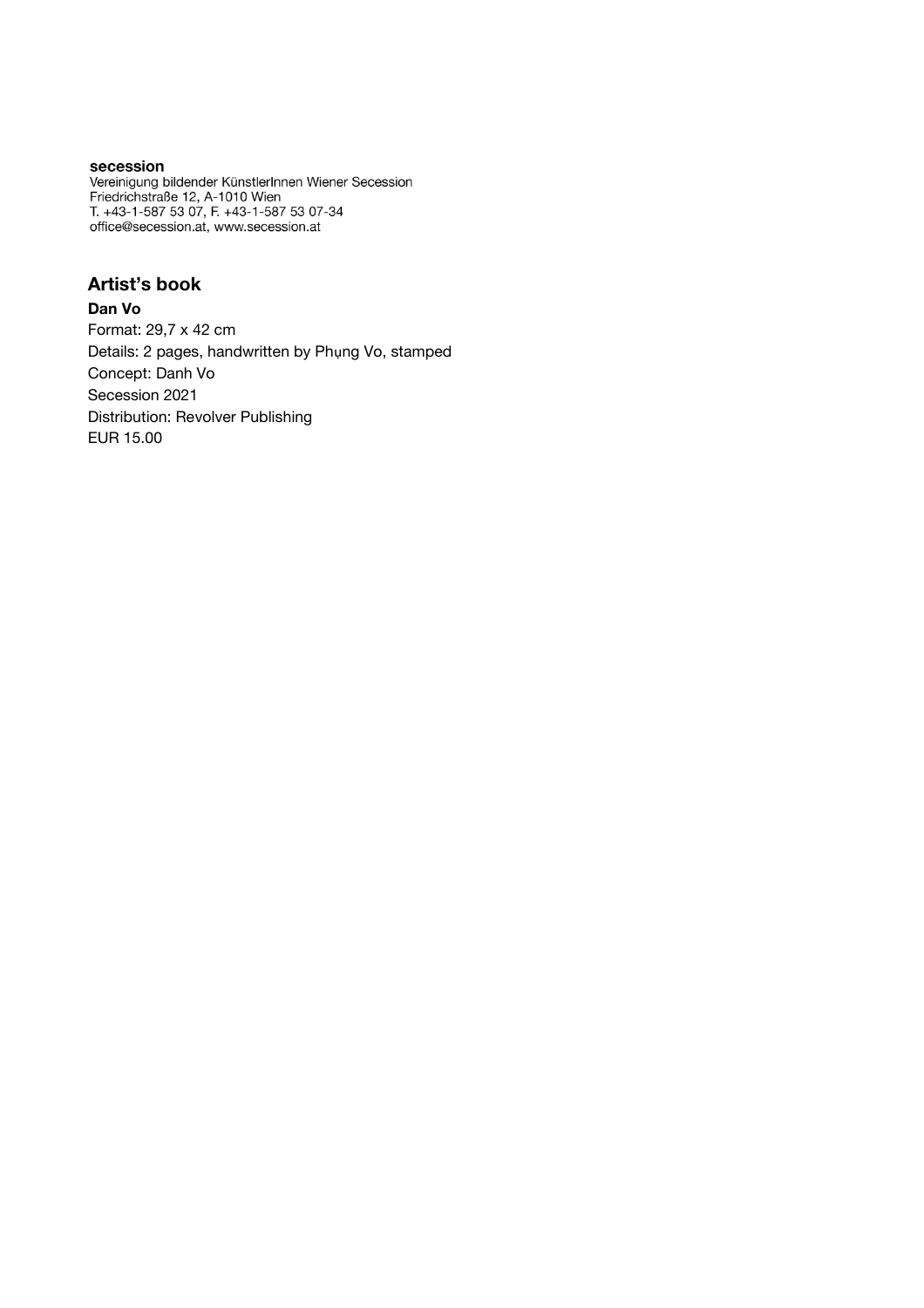Vereinigung bildender KünstlerInnen Wiener Secession Friedrichstraße 12, A-1010 Wien<br>T. +43-1-587 53 07, F. +43-1-587 53 07-34 office@secession.at, www.secession.at

# Artist's book

#### Dan Vo

Format: 29,7 x 42 cm Details: 2 pages, handwritten by Phụng Vo, stamped Concept: Danh Vo Secession 2021 Distribution: Revolver Publishing EUR 15.00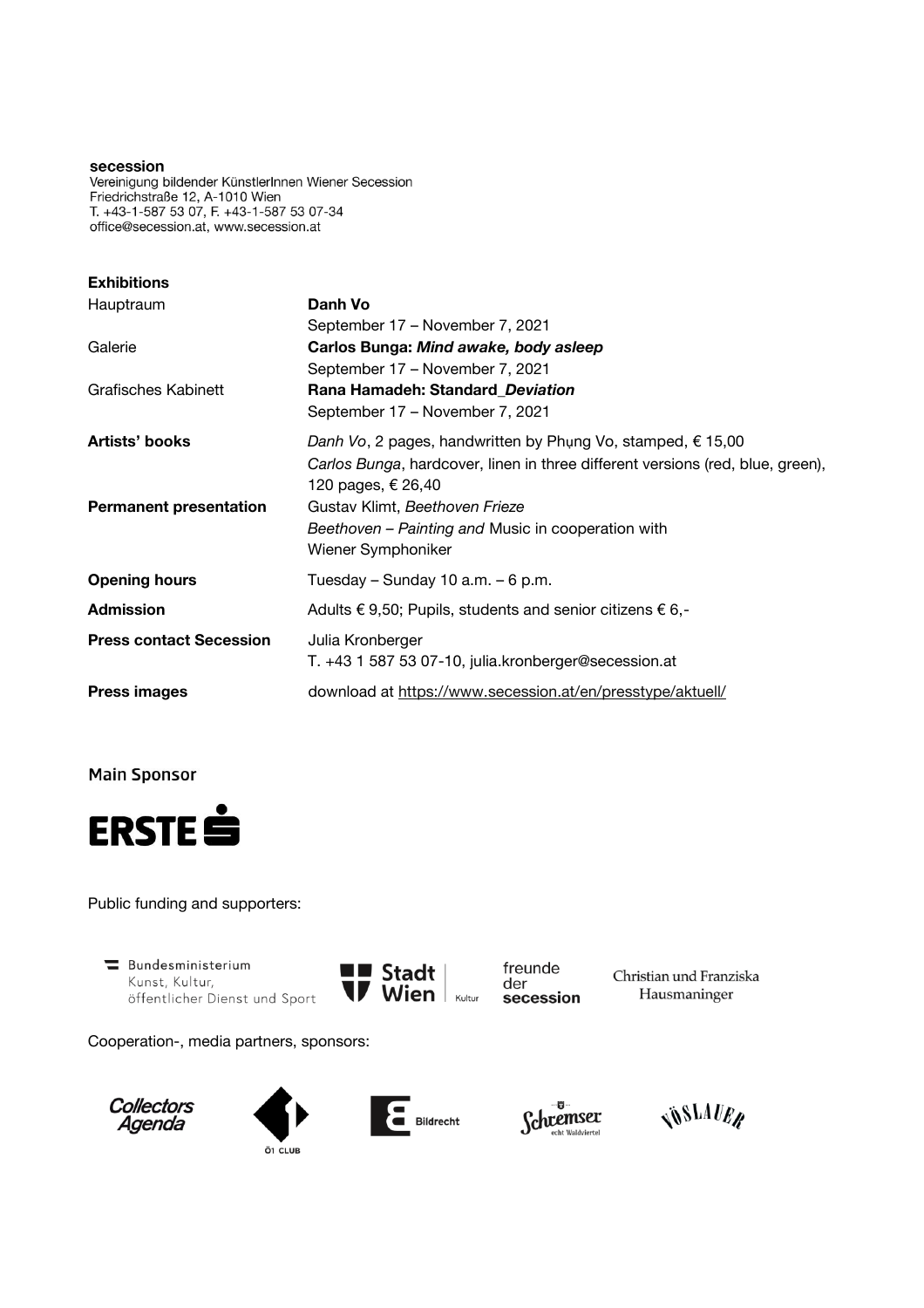Vereinigung bildender KünstlerInnen Wiener Secession Friedrichstraße 12, A-1010 Wien T. +43-1-587 53 07, F. +43-1-587 53 07-34 office@secession.at, www.secession.at

| <b>Exhibitions</b>             |                                                                                |
|--------------------------------|--------------------------------------------------------------------------------|
| Hauptraum                      | Danh Vo                                                                        |
|                                | September 17 – November 7, 2021                                                |
| Galerie                        | Carlos Bunga: Mind awake, body asleep                                          |
|                                | September 17 - November 7, 2021                                                |
| <b>Grafisches Kabinett</b>     | Rana Hamadeh: Standard_Deviation                                               |
|                                | September 17 – November 7, 2021                                                |
| Artists' books                 | Danh Vo, 2 pages, handwritten by Phụng Vo, stamped, € 15,00                    |
|                                | Carlos Bunga, hardcover, linen in three different versions (red, blue, green), |
|                                | 120 pages, € 26,40                                                             |
| <b>Permanent presentation</b>  | Gustav Klimt, Beethoven Frieze                                                 |
|                                | Beethoven - Painting and Music in cooperation with                             |
|                                | Wiener Symphoniker                                                             |
| <b>Opening hours</b>           | Tuesday – Sunday 10 a.m. – 6 p.m.                                              |
| <b>Admission</b>               | Adults $\epsilon$ 9,50; Pupils, students and senior citizens $\epsilon$ 6,-    |
| <b>Press contact Secession</b> | Julia Kronberger                                                               |
|                                | T. +43 1 587 53 07-10, julia.kronberger@secession.at                           |
| <b>Press images</b>            | download at https://www.secession.at/en/presstype/aktuell/                     |

**Main Sponsor** 



Public funding and supporters:

Bundesministerium Kunst, Kultur, öffentlicher Dienst und Sport



freunde der secession

Christian und Franziska Hausmaninger

Cooperation-, media partners, sponsors:









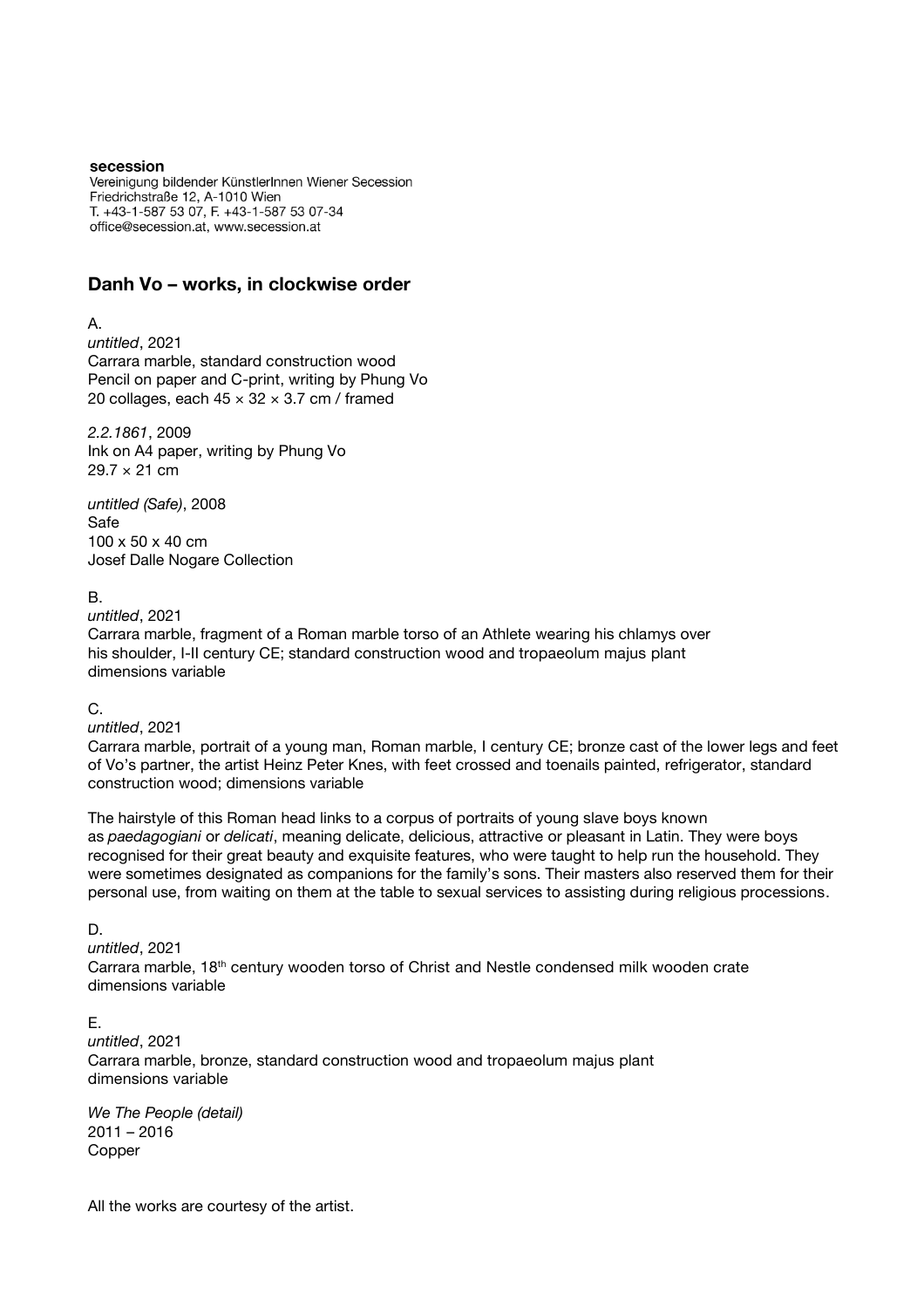Vereinigung bildender KünstlerInnen Wiener Secession Friedrichstraße 12, A-1010 Wien T. +43-1-587 53 07, F. +43-1-587 53 07-34 office@secession.at, www.secession.at

# Danh Vo – works, in clockwise order

#### A.

untitled, 2021 Carrara marble, standard construction wood Pencil on paper and C-print, writing by Phung Vo 20 collages, each  $45 \times 32 \times 3.7$  cm / framed

2.2.1861, 2009 Ink on A4 paper, writing by Phung Vo  $29.7 \times 21$  cm

untitled (Safe), 2008 Safe 100 x 50 x 40 cm Josef Dalle Nogare Collection

#### B.

untitled, 2021

Carrara marble, fragment of a Roman marble torso of an Athlete wearing his chlamys over his shoulder, I-II century CE; standard construction wood and tropaeolum majus plant dimensions variable

## C.

untitled, 2021

Carrara marble, portrait of a young man, Roman marble, I century CE; bronze cast of the lower legs and feet of Vo's partner, the artist Heinz Peter Knes, with feet crossed and toenails painted, refrigerator, standard construction wood; dimensions variable

The hairstyle of this Roman head links to a corpus of portraits of young slave boys known as paedagogiani or delicati, meaning delicate, delicious, attractive or pleasant in Latin. They were boys recognised for their great beauty and exquisite features, who were taught to help run the household. They were sometimes designated as companions for the family's sons. Their masters also reserved them for their personal use, from waiting on them at the table to sexual services to assisting during religious processions.

# D.

untitled, 2021

Carrara marble, 18th century wooden torso of Christ and Nestle condensed milk wooden crate dimensions variable

#### E.

untitled, 2021 Carrara marble, bronze, standard construction wood and tropaeolum majus plant dimensions variable

We The People (detail) 2011 – 2016 Copper

All the works are courtesy of the artist.